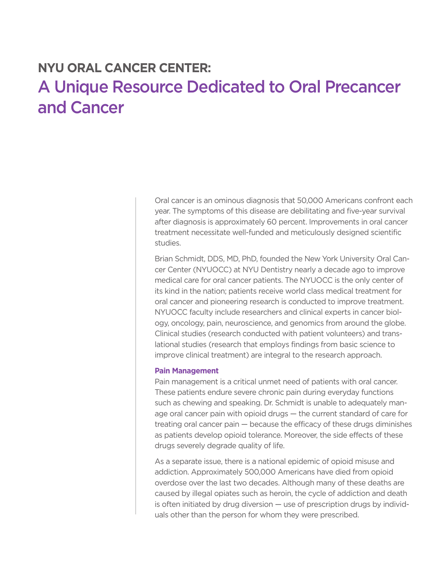## **NYU ORAL CANCER CENTER:**  A Unique Resource Dedicated to Oral Precancer and Cancer

Oral cancer is an ominous diagnosis that 50,000 Americans confront each year. The symptoms of this disease are debilitating and five-year survival after diagnosis is approximately 60 percent. Improvements in oral cancer treatment necessitate well-funded and meticulously designed scientific studies.

Brian Schmidt, DDS, MD, PhD, founded the New York University Oral Cancer Center (NYUOCC) at NYU Dentistry nearly a decade ago to improve medical care for oral cancer patients. The NYUOCC is the only center of its kind in the nation; patients receive world class medical treatment for oral cancer and pioneering research is conducted to improve treatment. NYUOCC faculty include researchers and clinical experts in cancer biology, oncology, pain, neuroscience, and genomics from around the globe. Clinical studies (research conducted with patient volunteers) and translational studies (research that employs findings from basic science to improve clinical treatment) are integral to the research approach.

## **Pain Management**

Pain management is a critical unmet need of patients with oral cancer. These patients endure severe chronic pain during everyday functions such as chewing and speaking. Dr. Schmidt is unable to adequately manage oral cancer pain with opioid drugs — the current standard of care for treating oral cancer pain — because the efficacy of these drugs diminishes as patients develop opioid tolerance. Moreover, the side effects of these drugs severely degrade quality of life.

As a separate issue, there is a national epidemic of opioid misuse and addiction. Approximately 500,000 Americans have died from opioid overdose over the last two decades. Although many of these deaths are caused by illegal opiates such as heroin, the cycle of addiction and death is often initiated by drug diversion — use of prescription drugs by individuals other than the person for whom they were prescribed.